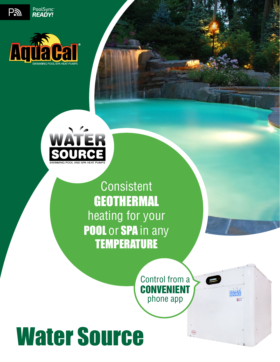

PoolSync<sup>®</sup><br>READY!

Pa



Consistent **GEOTHERMAL** heating for your POOL or SPA in any **TEMPERATURE** 

> Control from a CONVENIENT phone app

# Water Source